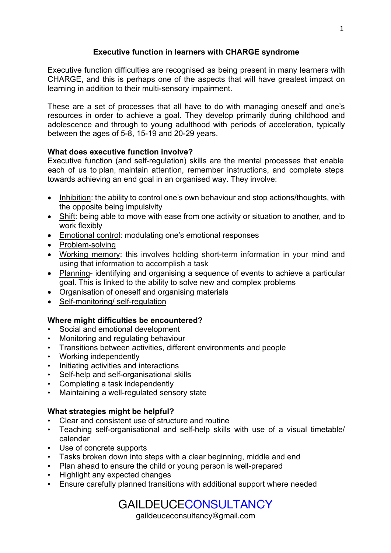## **Executive function in learners with CHARGE syndrome**

Executive function difficulties are recognised as being present in many learners with CHARGE, and this is perhaps one of the aspects that will have greatest impact on learning in addition to their multi-sensory impairment.

These are a set of processes that all have to do with managing oneself and one's resources in order to achieve a goal. They develop primarily during childhood and adolescence and through to young adulthood with periods of acceleration, typically between the ages of 5-8, 15-19 and 20-29 years.

## **What does executive function involve?**

Executive function (and self-regulation) skills are the mental processes that enable each of us to plan, maintain attention, remember instructions, and complete steps towards achieving an end goal in an organised way. They involve:

- Inhibition: the ability to control one's own behaviour and stop actions/thoughts, with the opposite being impulsivity
- Shift: being able to move with ease from one activity or situation to another, and to work flexibly
- Emotional control: modulating one's emotional responses
- Problem-solving
- Working memory: this involves holding short-term information in your mind and using that information to accomplish a task
- Planning- identifying and organising a sequence of events to achieve a particular goal. This is linked to the ability to solve new and complex problems
- Organisation of oneself and organising materials
- Self-monitoring/ self-regulation

## **Where might difficulties be encountered?**

- Social and emotional development
- Monitoring and regulating behaviour
- Transitions between activities, different environments and people
- Working independently
- Initiating activities and interactions
- Self-help and self-organisational skills
- Completing a task independently
- Maintaining a well-regulated sensory state

## **What strategies might be helpful?**

- Clear and consistent use of structure and routine
- Teaching self-organisational and self-help skills with use of a visual timetable/ calendar
- Use of concrete supports
- Tasks broken down into steps with a clear beginning, middle and end
- Plan ahead to ensure the child or young person is well-prepared
- Highlight any expected changes
- Ensure carefully planned transitions with additional support where needed

# GAILDEUCECONSULTANCY

gaildeuceconsultancy@gmail.com